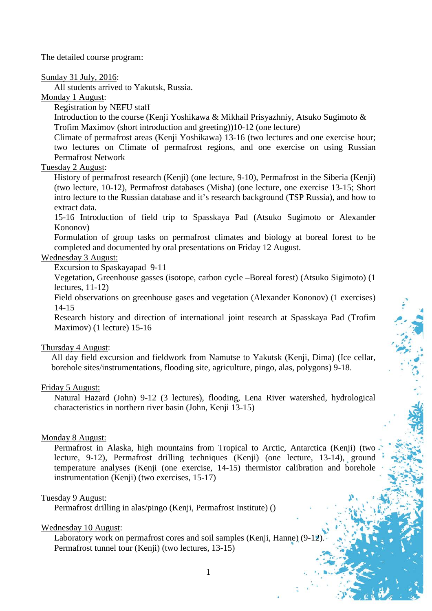The detailed course program:

Sunday 31 July, 2016:

All students arrived to Yakutsk, Russia.

Monday 1 August:

Registration by NEFU staff

Introduction to the course (Kenji Yoshikawa & Mikhail Prisyazhniy, Atsuko Sugimoto & Trofim Maximov (short introduction and greeting))10-12 (one lecture)

Climate of permafrost areas (Kenji Yoshikawa) 13-16 (two lectures and one exercise hour; two lectures on Climate of permafrost regions, and one exercise on using Russian Permafrost Network

# Tuesday 2 August:

History of permafrost research (Kenji) (one lecture, 9-10), Permafrost in the Siberia (Kenji) (two lecture, 10-12), Permafrost databases (Misha) (one lecture, one exercise 13-15; Short intro lecture to the Russian database and it's research background (TSP Russia), and how to extract data.

15-16 Introduction of field trip to Spasskaya Pad (Atsuko Sugimoto or Alexander Kononov)

Formulation of group tasks on permafrost climates and biology at boreal forest to be completed and documented by oral presentations on Friday 12 August.

# Wednesday 3 August:

Excursion to Spaskayapad 9-11

Vegetation, Greenhouse gasses (isotope, carbon cycle –Boreal forest) (Atsuko Sigimoto) (1 lectures, 11-12)

Field observations on greenhouse gases and vegetation (Alexander Kononov) (1 exercises) 14-15

Research history and direction of international joint research at Spasskaya Pad (Trofim Maximov) (1 lecture) 15-16

## Thursday 4 August:

All day field excursion and fieldwork from Namutse to Yakutsk (Kenji, Dima) (Ice cellar, borehole sites/instrumentations, flooding site, agriculture, pingo, alas, polygons) 9-18.

#### Friday 5 August:

Natural Hazard (John) 9-12 (3 lectures), flooding, Lena River watershed, hydrological characteristics in northern river basin (John, Kenji 13-15)

#### Monday 8 August:

Permafrost in Alaska, high mountains from Tropical to Arctic, Antarctica (Kenji) (two lecture, 9-12), Permafrost drilling techniques (Kenji) (one lecture, 13-14), ground temperature analyses (Kenji (one exercise, 14-15) thermistor calibration and borehole instrumentation (Kenji) (two exercises, 15-17)

#### Tuesday 9 August:

Permafrost drilling in alas/pingo (Kenji, Permafrost Institute) ()

#### Wednesday 10 August:

Laboratory work on permafrost cores and soil samples (Kenji, Hanne) (9-12). Permafrost tunnel tour (Kenji) (two lectures, 13-15)